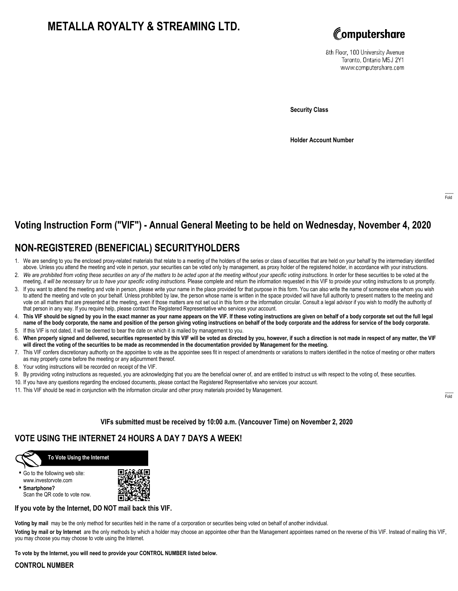# **METALLA ROYALTY & STREAMING LTD.**



8th Floor, 100 University Avenue Toronto, Ontario M5J 2Y1 www.computershare.com

**Security Class**

**Holder Account Number**

# **Voting Instruction Form ("VIF") - Annual General Meeting to be held on Wednesday, November 4, 2020**

## **NON-REGISTERED (BENEFICIAL) SECURITYHOLDERS**

- 1. We are sending to you the enclosed proxy-related materials that relate to a meeting of the holders of the series or class of securities that are held on your behalf by the intermediary identified above. Unless you attend the meeting and vote in person, your securities can be voted only by management, as proxy holder of the registered holder, in accordance with your instructions.
- 2. *We are prohibited from voting these securities on any of the matters to be acted upon at the meeting without your specific voting instructions.* In order for these securities to be voted at the meeting, *it will be necessary for us to have your specific voting instructions.* Please complete and return the information requested in this VIF to provide your voting instructions to us promptly.
- 3. If you want to attend the meeting and vote in person, please write your name in the place provided for that purpose in this form. You can also write the name of someone else whom you wish to attend the meeting and vote on your behalf. Unless prohibited by law, the person whose name is written in the space provided will have full authority to present matters to the meeting and vote on all matters that are presented at the meeting, even if those matters are not set out in this form or the information circular. Consult a legal advisor if you wish to modify the authority of that person in any way. If you require help, please contact the Registered Representative who services your account.
- 4. **This VIF should be signed by you in the exact manner as your name appears on the VIF. If these voting instructions are given on behalf of a body corporate set out the full legal name of the body corporate, the name and position of the person giving voting instructions on behalf of the body corporate and the address for service of the body corporate.**
- 5. If this VIF is not dated, it will be deemed to bear the date on which it is mailed by management to you.
- 6. **When properly signed and delivered, securities represented by this VIF will be voted as directed by you, however, if such a direction is not made in respect of any matter, the VIF will direct the voting of the securities to be made as recommended in the documentation provided by Management for the meeting.**
- 7. This VIF confers discretionary authority on the appointee to vote as the appointee sees fit in respect of amendments or variations to matters identified in the notice of meeting or other matters as may properly come before the meeting or any adjournment thereof.
- 8. Your voting instructions will be recorded on receipt of the VIF.
- 9. By providing voting instructions as requested, you are acknowledging that you are the beneficial owner of, and are entitled to instruct us with respect to the voting of, these securities.
- 10. If you have any questions regarding the enclosed documents, please contact the Registered Representative who services your account.
- 11. This VIF should be read in conjunction with the information circular and other proxy materials provided by Management.

## **VIFs submitted must be received by 10:00 a.m. (Vancouver Time) on November 2, 2020**

## **VOTE USING THE INTERNET 24 HOURS A DAY 7 DAYS A WEEK!**



### **To Vote Using the Internet**

**•** Go to the following web site: www.investorvote.com

**• Smartphone?** Scan the QR code to vote now.



### **If you vote by the Internet, DO NOT mail back this VIF.**

**Voting by mail** may be the only method for securities held in the name of a corporation or securities being voted on behalf of another individual.

**Voting by mail or by Internet** are the only methods by which a holder may choose an appointee other than the Management appointees named on the reverse of this VIF. Instead of mailing this VIF, you may choose you may choose to vote using the Internet.

**To vote by the Internet, you will need to provide your CONTROL NUMBER listed below.**

### **CONTROL NUMBER**